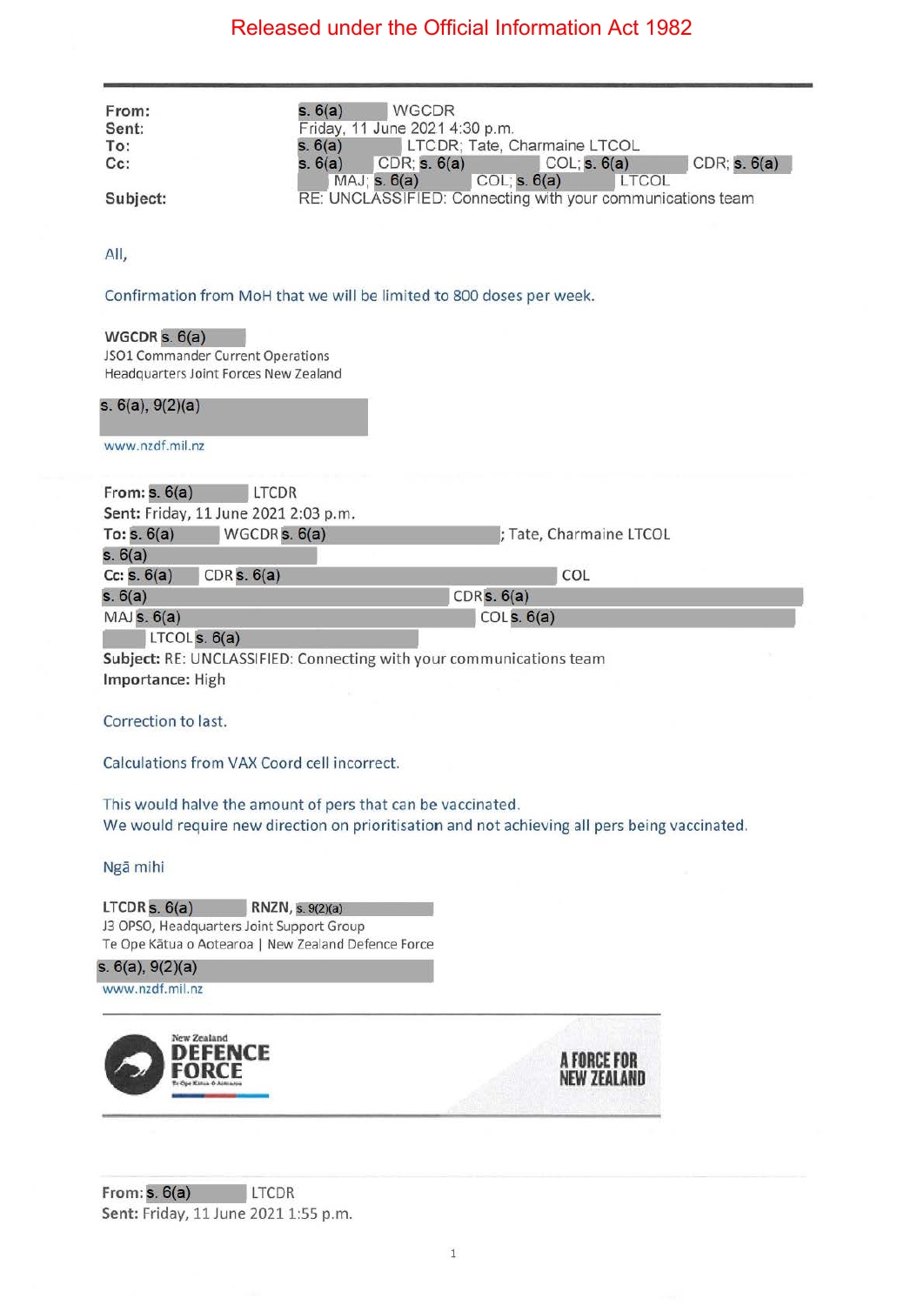| From:                 | s. 6(a)<br><b>WGCDR</b>                                                                          |                                                              |  |  |
|-----------------------|--------------------------------------------------------------------------------------------------|--------------------------------------------------------------|--|--|
| Sent:                 | Friday, 11 June 2021 4:30 p.m.                                                                   |                                                              |  |  |
| To:                   | s. 6(a)                                                                                          | LTCDR; Tate, Charmaine LTCOL                                 |  |  |
| Cc:                   | $CDR$ ; s. $6(a)$<br>s. 6(a)<br>MAJ; s. 6(a)                                                     | CDR; s. 6(a)<br>COL; s. 6(a)<br>COL; s. 6(a)<br><b>LTCOL</b> |  |  |
| Subject:              |                                                                                                  | RE: UNCLASSIFIED: Connecting with your communications team   |  |  |
| All,                  |                                                                                                  |                                                              |  |  |
|                       |                                                                                                  |                                                              |  |  |
|                       | Confirmation from MoH that we will be limited to 800 doses per week.                             |                                                              |  |  |
| WGCDR $s. 6(a)$       |                                                                                                  |                                                              |  |  |
|                       | JSO1 Commander Current Operations                                                                |                                                              |  |  |
|                       | Headquarters Joint Forces New Zealand                                                            |                                                              |  |  |
| s. $6(a)$ , $9(2)(a)$ |                                                                                                  |                                                              |  |  |
| www.nzdf.mil.nz       |                                                                                                  |                                                              |  |  |
| From: $s. 6(a)$       | LTCDR                                                                                            |                                                              |  |  |
|                       | Sent: Friday, 11 June 2021 2:03 p.m.                                                             |                                                              |  |  |
| To: $s. 6(a)$         | WGCDR <sub>s. 6(a)</sub>                                                                         | ; Tate, Charmaine LTCOL                                      |  |  |
| s. 6(a)               |                                                                                                  |                                                              |  |  |
| Cc: s. 6(a)           | CDR s. 6(a)                                                                                      | COL                                                          |  |  |
| s. 6(a)<br>MAJs. 6(a) | CDRs. 6(a)                                                                                       | COLs. 6(a)                                                   |  |  |
|                       |                                                                                                  |                                                              |  |  |
| LTCOLs. 6(a)          |                                                                                                  |                                                              |  |  |
|                       |                                                                                                  |                                                              |  |  |
|                       | Subject: RE: UNCLASSIFIED: Connecting with your communications team                              |                                                              |  |  |
| Importance: High      |                                                                                                  |                                                              |  |  |
| Correction to last.   |                                                                                                  |                                                              |  |  |
|                       |                                                                                                  |                                                              |  |  |
|                       | Calculations from VAX Coord cell incorrect.                                                      |                                                              |  |  |
|                       |                                                                                                  |                                                              |  |  |
|                       | This would halve the amount of pers that can be vaccinated.                                      |                                                              |  |  |
|                       | We would require new direction on prioritisation and not achieving all pers being vaccinated.    |                                                              |  |  |
|                       |                                                                                                  |                                                              |  |  |
| Ngā mihi              |                                                                                                  |                                                              |  |  |
|                       |                                                                                                  |                                                              |  |  |
| LTCDRs. 6(a)          | RNZN, s. 9(2)(a)                                                                                 |                                                              |  |  |
|                       | J3 OPSO, Headquarters Joint Support Group<br>Te Ope Kātua o Aotearoa   New Zealand Defence Force |                                                              |  |  |
| s. $6(a)$ , $9(2)(a)$ |                                                                                                  |                                                              |  |  |
| www.nzdf.mil.nz       |                                                                                                  |                                                              |  |  |
|                       |                                                                                                  |                                                              |  |  |
|                       | New Zealand                                                                                      |                                                              |  |  |
|                       | ICE                                                                                              |                                                              |  |  |
|                       |                                                                                                  | A FORCE FOR                                                  |  |  |
|                       |                                                                                                  |                                                              |  |  |
|                       |                                                                                                  |                                                              |  |  |

**From: . 6(a)** LTCDR **Sent: Friday, 11 June 2021 1:55 p.m.**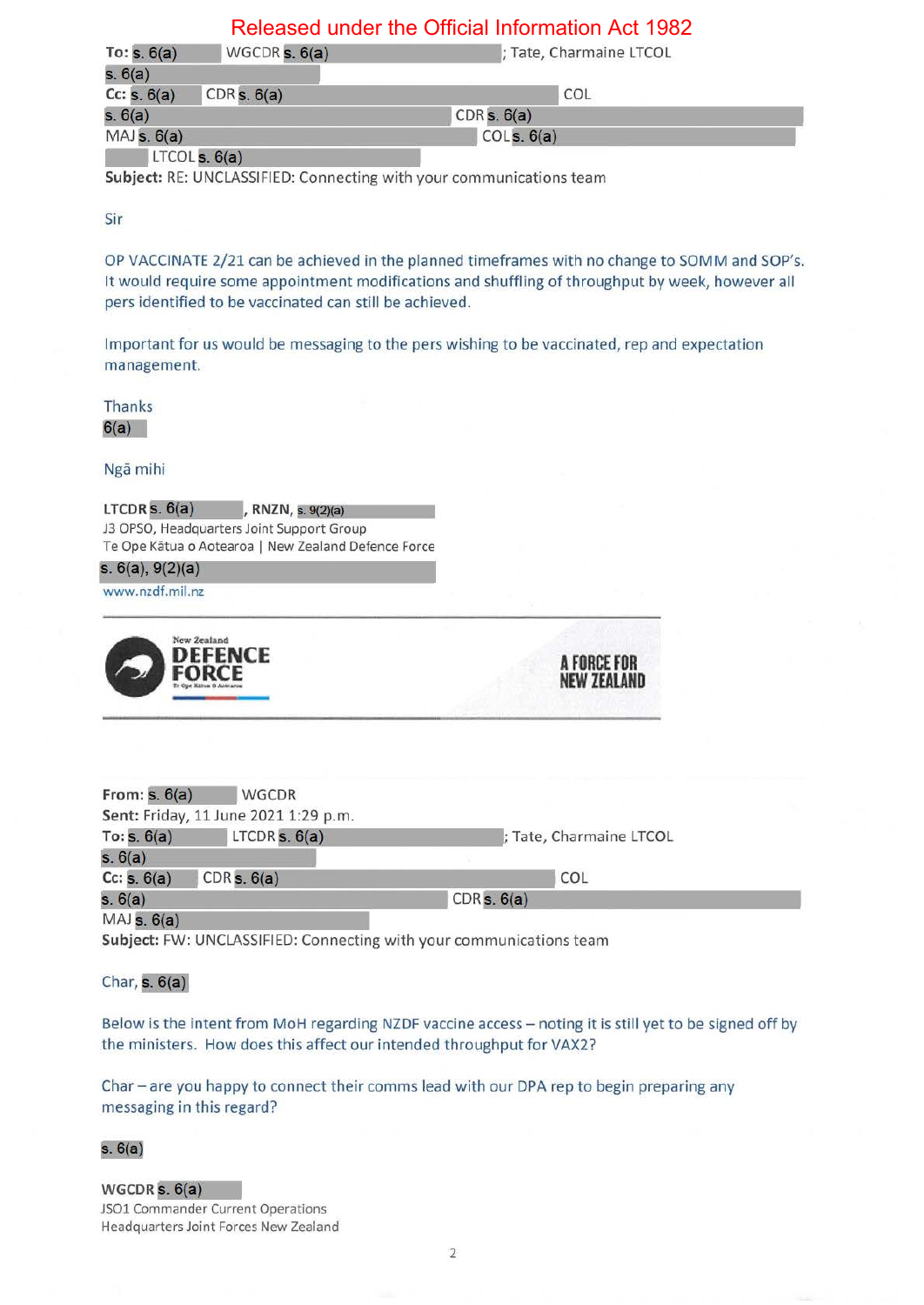| To: $s. 6(a)$                | WGCDR $s. 6(a)$                   | ; Tate, Charmaine LTCOL |  |
|------------------------------|-----------------------------------|-------------------------|--|
| s. 6(a)                      |                                   |                         |  |
| Cc: s. 6(a)                  | CDRs. 6(a)                        | COL                     |  |
| s. 6(a)                      |                                   | CDRs. 6(a)              |  |
| MAJs. 6(a)                   |                                   | COLs. 6(a)              |  |
| the state and company of the | <b>Contract Contract Contract</b> |                         |  |

 $LTCOLs. 6(a)$ 

**Subject:** RE: UNCLASSIFIED: Connecting with your communications team

Sir

OP VACCINATE 2/21 can be achieved in the planned timeframes with no change to SOMM and SOP's. It would require some appointment modifications and shuffling of throughput by week, however all pers identified to be vaccinated can still be achieved.

Important for us would be messaging to the pers w ishing to be vaccinated, rep and expectation management.

Thanks

 $6(a)$ 

Nga mihi

 $LTCDR$  s.  $6(a)$  RNZN, s.  $9(2)(a)$ J3 OPSO, Headquarters Joint Support Group Te Ope Kātua o Aotearoa | New Zealand Defence Force

**s.** 6(a), 9(2)(a)

www.nzdf.mil.nz



| From: $s. 6(a)$ | WGCDR                                |                         |  |
|-----------------|--------------------------------------|-------------------------|--|
|                 | Sent: Friday, 11 June 2021 1:29 p.m. |                         |  |
| To: $s. 6(a)$   | LTCDR $s. 6(a)$                      | ; Tate, Charmaine LTCOL |  |
| s. 6(a)         |                                      |                         |  |
| Cc: s. 6(a)     | CDRs. 6(a)                           | COL                     |  |
| s. 6(a)         |                                      | CDRs. 6(a)              |  |
| $MAJ$ s. $6(a)$ |                                      |                         |  |

**A FORCE FOR NEW ZEAlAND** 

**Subject:** FW: UNCLASSIFIED: Connecting with your communications team

Char,  $s. 6(a)$ 

Below is the intent from MoH regarding NZDF vaccine access- noting it is still yet to be signed off by the ministers. How does this affect our intended throughput for VAX2?

Char - are you happy to connect their comms lead with our DPA rep to begin preparing any messaging in this regard?

**s**. 6(a)<br>WGCDR **s**. 6(a)

JSOl Commander Current Operations Headquarters Joint Forces New Zealand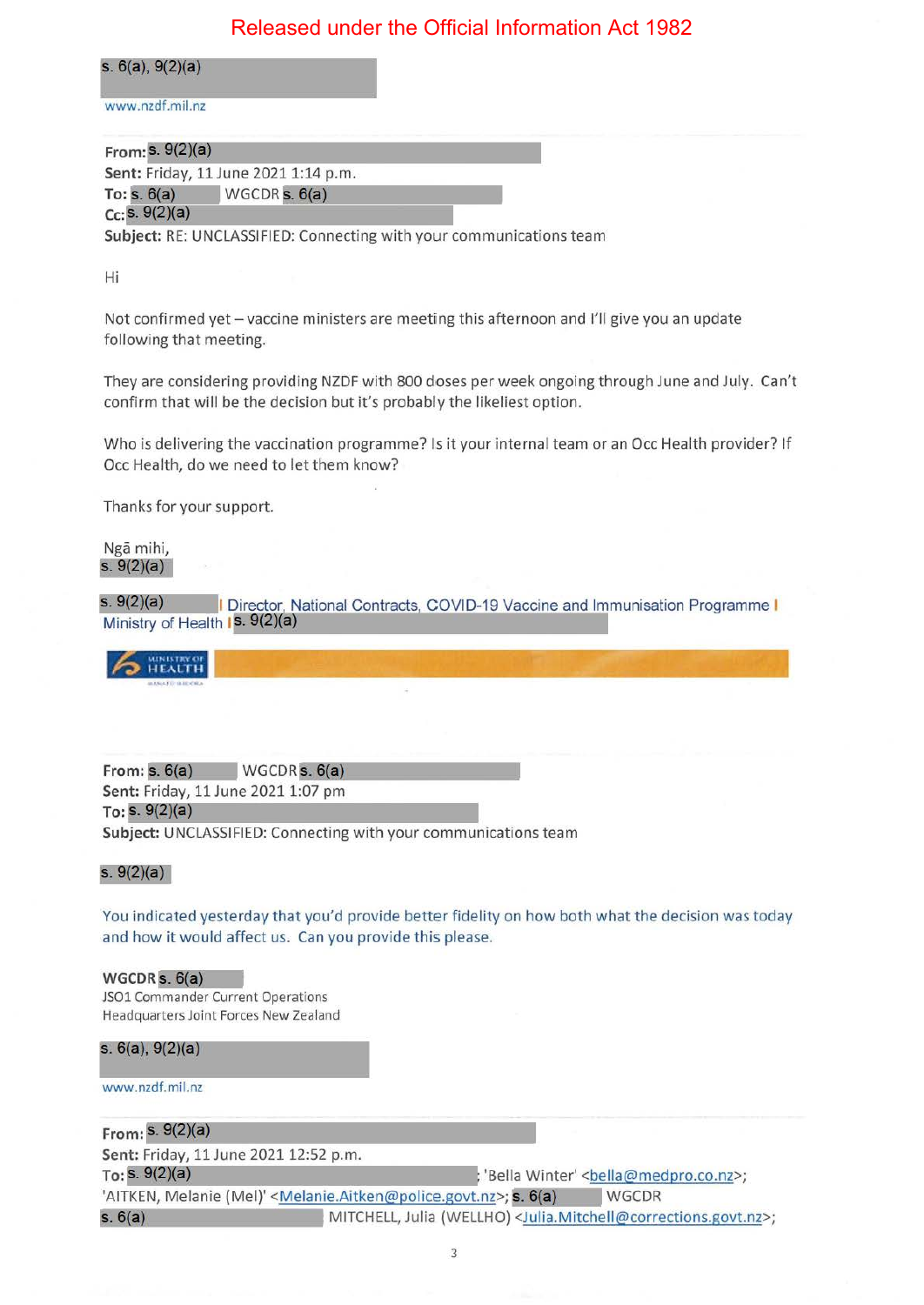**s. 6(a), 9(2)(a)** 

www.nzdf.mil.nz

| From: $S. 9(2)(a)$ |                                      |  |
|--------------------|--------------------------------------|--|
|                    | Sent: Friday, 11 June 2021 1:14 p.m. |  |
| To: $s. 6(a)$      | $WGCDR$ s. $6(a)$                    |  |
| Cc: S. 9(2)(a)     |                                      |  |

**Subject:** RE: UNCLASSIFIED: Connecting with your communications team

Hi

Not confirmed yet - vaccine ministers are meeting this afternoon and I'll give you an update following that meeting.

They are considering providing NZDF with 800 doses per week ongoing through June and July. Can't confirm that will be the decision but it's probably the likeliest option.

Who is delivering the vaccination programme? Is it your internal team or an Occ Health provider? If Occ Health, do we need to let them know?

Thanks for your support.

Nga mihi, **s.**  $9(2)(a)$ 

s.  $9(2)(a)$ I Director, National Contracts, COVID-19 Vaccine and Immunisation Programme I Ministry of Health 1s. 9(2)(a)

 $\sim$   $^{\text{maxmax or}}$ 

**From: s. 6(a)** WGCDR **s. 6(a) Sent: Friday, 11 June 2021 1:07 pm**  $To: S. 9(2)(a)$ **Subject:** UNCLASSIFIED: Connecting with your communications team

#### **s.** 9(2)(a)

You indicated yesterday that you'd provide better fidelity on how both what the decision was today and how it would affect us. Can you provide this please.

WGCDR  $s. 6(a)$ JSO1 Commander Current Operations Headquarters Joint Forces New Zealand

**s.** 6(a), 9(2)(a)

www.nzdf.mil.nz

From:  $s. 9(2)(a)$ Sent: Friday, 11 June 2021 12:52 p.m.<br>  $To: S. 9(2)(a)$ <br>  $I. 9(2)(a)$ <br>  $I. 9(2)(a)$ 'AITKEN, Melanie (Mel)' <Melanie.Aitken@police.govt.nz>; **s. 6(a)** WGCDR s. 6(a) **MITCHELL, Julia (WELLHO) <Julia.Mitchell@corrections.govt.nz>;**